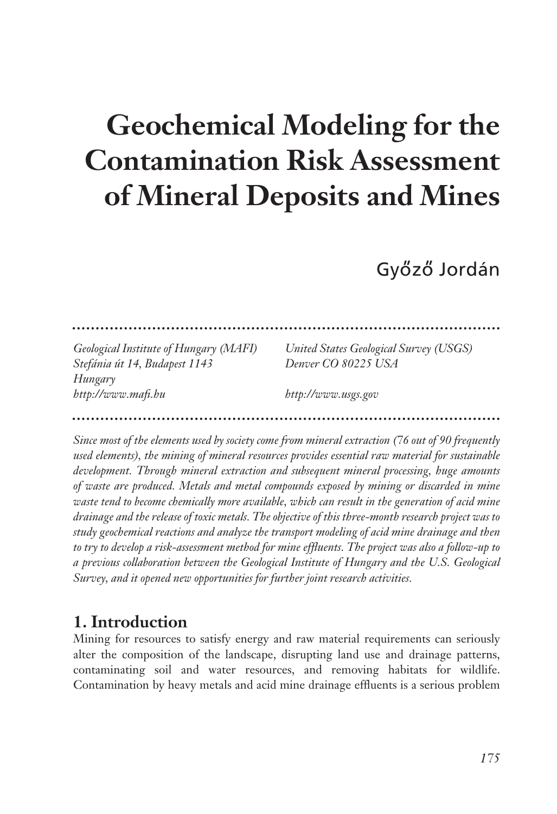# **Geochemical Modeling for the Contamination Risk Assessment of Mineral Deposits and Mines**

Győző Jordán

| Geological Institute of Hungary (MAFI) | United States Geological Survey (USGS) |
|----------------------------------------|----------------------------------------|
| Stefánia út 14, Budapest 1143          | Denver CO 80225 USA                    |
| Hungary                                |                                        |
| http://www.mafi.hu                     | http://www.usgs.gov                    |
|                                        |                                        |

*Since most of the elements used by society come from mineral extraction (76 out of 90 frequently used elements), the mining of mineral resources provides essential raw material for sustainable development. Through mineral extraction and subsequent mineral processing, huge amounts of waste are produced. Metals and metal compounds exposed by mining or discarded in mine waste tend to become chemically more available, which can result in the generation of acid mine drainage and the release of toxic metals. The objective of this three-month research project was to study geochemical reactions and analyze the transport modeling of acid mine drainage and then to try to develop a risk-assessment method for mine effluents. The project was also a follow-up to a previous collaboration between the Geological Institute of Hungary and the U.S. Geological Survey, and it opened new opportunities for further joint research activities.* 

#### **1. Introduction**

Mining for resources to satisfy energy and raw material requirements can seriously alter the composition of the landscape, disrupting land use and drainage patterns, contaminating soil and water resources, and removing habitats for wildlife. Contamination by heavy metals and acid mine drainage effluents is a serious problem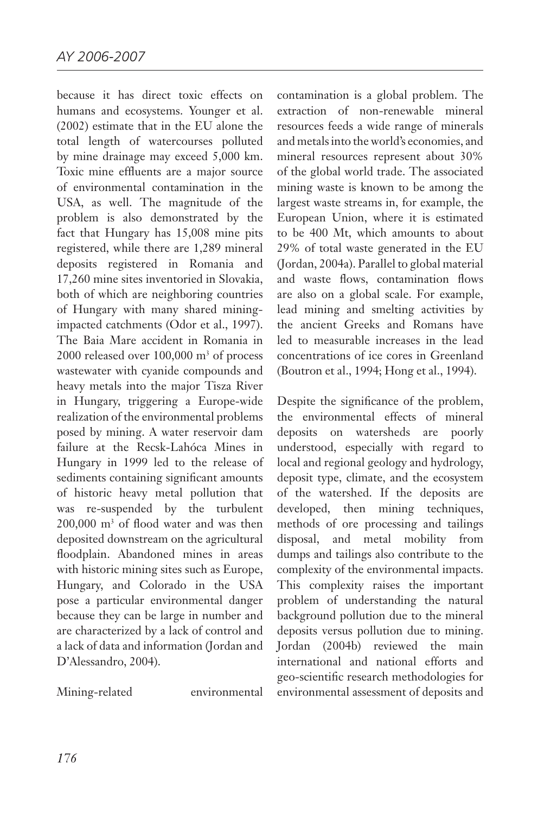because it has direct toxic effects on humans and ecosystems. Younger et al. (2002) estimate that in the EU alone the total length of watercourses polluted by mine drainage may exceed 5,000 km. Toxic mine effluents are a major source of environmental contamination in the USA, as well. The magnitude of the problem is also demonstrated by the fact that Hungary has 15,008 mine pits registered, while there are 1,289 mineral deposits registered in Romania and 17,260 mine sites inventoried in Slovakia, both of which are neighboring countries of Hungary with many shared miningimpacted catchments (Odor et al., 1997). The Baia Mare accident in Romania in 2000 released over  $100,000 \text{ m}^3$  of process wastewater with cyanide compounds and heavy metals into the major Tisza River in Hungary, triggering a Europe-wide realization of the environmental problems posed by mining. A water reservoir dam failure at the Recsk-Lahóca Mines in Hungary in 1999 led to the release of sediments containing significant amounts of historic heavy metal pollution that was re-suspended by the turbulent 200,000 m3 of flood water and was then deposited downstream on the agricultural floodplain. Abandoned mines in areas with historic mining sites such as Europe, Hungary, and Colorado in the USA pose a particular environmental danger because they can be large in number and are characterized by a lack of control and a lack of data and information (Jordan and D'Alessandro, 2004).

Mining-related environmental

contamination is a global problem. The extraction of non-renewable mineral resources feeds a wide range of minerals and metals into the world's economies, and mineral resources represent about 30% of the global world trade. The associated mining waste is known to be among the largest waste streams in, for example, the European Union, where it is estimated to be 400 Mt, which amounts to about 29% of total waste generated in the EU (Jordan, 2004a). Parallel to global material and waste flows, contamination flows are also on a global scale. For example, lead mining and smelting activities by the ancient Greeks and Romans have led to measurable increases in the lead concentrations of ice cores in Greenland (Boutron et al., 1994; Hong et al., 1994).

Despite the significance of the problem, the environmental effects of mineral deposits on watersheds are poorly understood, especially with regard to local and regional geology and hydrology, deposit type, climate, and the ecosystem of the watershed. If the deposits are developed, then mining techniques, methods of ore processing and tailings disposal, and metal mobility from dumps and tailings also contribute to the complexity of the environmental impacts. This complexity raises the important problem of understanding the natural background pollution due to the mineral deposits versus pollution due to mining. Jordan (2004b) reviewed the main international and national efforts and geo-scientific research methodologies for environmental assessment of deposits and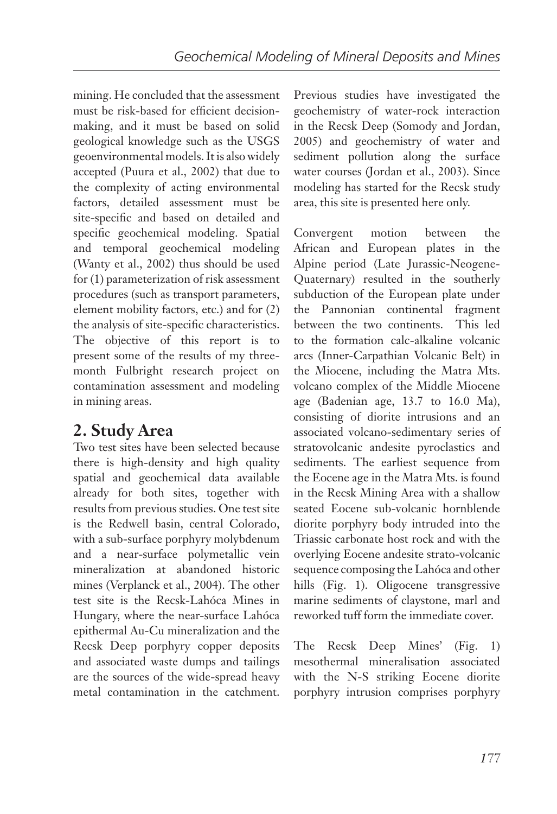mining. He concluded that the assessment must be risk-based for efficient decisionmaking, and it must be based on solid geological knowledge such as the USGS geoenvironmental models. It is also widely accepted (Puura et al., 2002) that due to the complexity of acting environmental factors, detailed assessment must be site-specific and based on detailed and specific geochemical modeling. Spatial and temporal geochemical modeling (Wanty et al., 2002) thus should be used for (1) parameterization of risk assessment procedures (such as transport parameters, element mobility factors, etc.) and for (2) the analysis of site-specific characteristics. The objective of this report is to present some of the results of my threemonth Fulbright research project on contamination assessment and modeling in mining areas.

## **2. Study Area**

Two test sites have been selected because there is high-density and high quality spatial and geochemical data available already for both sites, together with results from previous studies. One test site is the Redwell basin, central Colorado, with a sub-surface porphyry molybdenum and a near-surface polymetallic vein mineralization at abandoned historic mines (Verplanck et al., 2004). The other test site is the Recsk-Lahóca Mines in Hungary, where the near-surface Lahóca epithermal Au-Cu mineralization and the Recsk Deep porphyry copper deposits and associated waste dumps and tailings are the sources of the wide-spread heavy metal contamination in the catchment.

Previous studies have investigated the geochemistry of water-rock interaction in the Recsk Deep (Somody and Jordan, 2005) and geochemistry of water and sediment pollution along the surface water courses (Jordan et al., 2003). Since modeling has started for the Recsk study area, this site is presented here only.

Convergent motion between the African and European plates in the Alpine period (Late Jurassic-Neogene-Quaternary) resulted in the southerly subduction of the European plate under the Pannonian continental fragment between the two continents. This led to the formation calc-alkaline volcanic arcs (Inner-Carpathian Volcanic Belt) in the Miocene, including the Matra Mts. volcano complex of the Middle Miocene age (Badenian age, 13.7 to 16.0 Ma), consisting of diorite intrusions and an associated volcano-sedimentary series of stratovolcanic andesite pyroclastics and sediments. The earliest sequence from the Eocene age in the Matra Mts. is found in the Recsk Mining Area with a shallow seated Eocene sub-volcanic hornblende diorite porphyry body intruded into the Triassic carbonate host rock and with the overlying Eocene andesite strato-volcanic sequence composing the Lahóca and other hills (Fig. 1). Oligocene transgressive marine sediments of claystone, marl and reworked tuff form the immediate cover.

The Recsk Deep Mines' (Fig. 1) mesothermal mineralisation associated with the N-S striking Eocene diorite porphyry intrusion comprises porphyry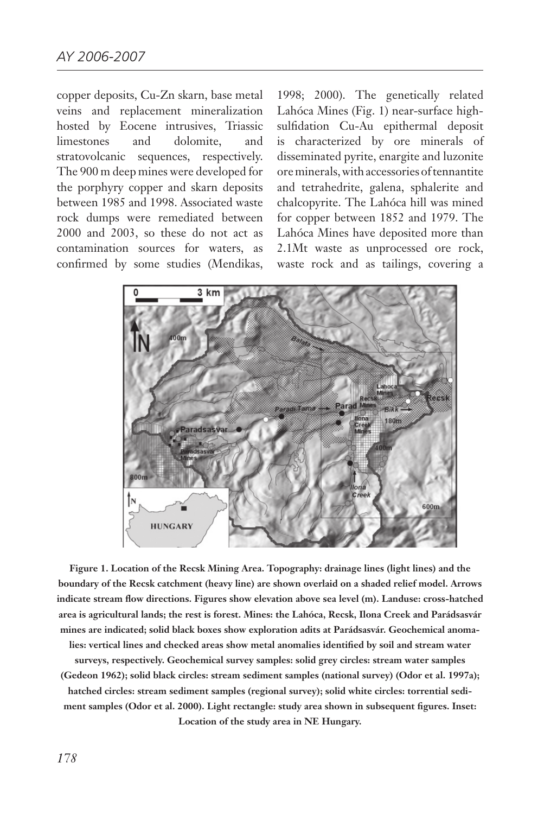copper deposits, Cu-Zn skarn, base metal veins and replacement mineralization hosted by Eocene intrusives, Triassic limestones and dolomite, and stratovolcanic sequences, respectively. The 900 m deep mines were developed for the porphyry copper and skarn deposits between 1985 and 1998. Associated waste rock dumps were remediated between 2000 and 2003, so these do not act as contamination sources for waters, as confirmed by some studies (Mendikas,

1998; 2000). The genetically related Lahóca Mines (Fig. 1) near-surface highsulfidation Cu-Au epithermal deposit is characterized by ore minerals of disseminated pyrite, enargite and luzonite ore minerals, with accessories of tennantite and tetrahedrite, galena, sphalerite and chalcopyrite. The Lahóca hill was mined for copper between 1852 and 1979. The Lahóca Mines have deposited more than 2.1Mt waste as unprocessed ore rock, waste rock and as tailings, covering a



**Figure 1. Location of the Recsk Mining Area. Topography: drainage lines (light lines) and the boundary of the Recsk catchment (heavy line) are shown overlaid on a shaded relief model. Arrows indicate stream flow directions. Figures show elevation above sea level (m). Landuse: cross-hatched area is agricultural lands; the rest is forest. Mines: the Lahóca, Recsk, Ilona Creek and Parádsasvár mines are indicated; solid black boxes show exploration adits at Parádsasvár. Geochemical anomalies: vertical lines and checked areas show metal anomalies identified by soil and stream water surveys, respectively. Geochemical survey samples: solid grey circles: stream water samples** 

**(Gedeon 1962); solid black circles: stream sediment samples (national survey) (Odor et al. 1997a); hatched circles: stream sediment samples (regional survey); solid white circles: torrential sediment samples (Odor et al. 2000). Light rectangle: study area shown in subsequent figures. Inset: Location of the study area in NE Hungary.**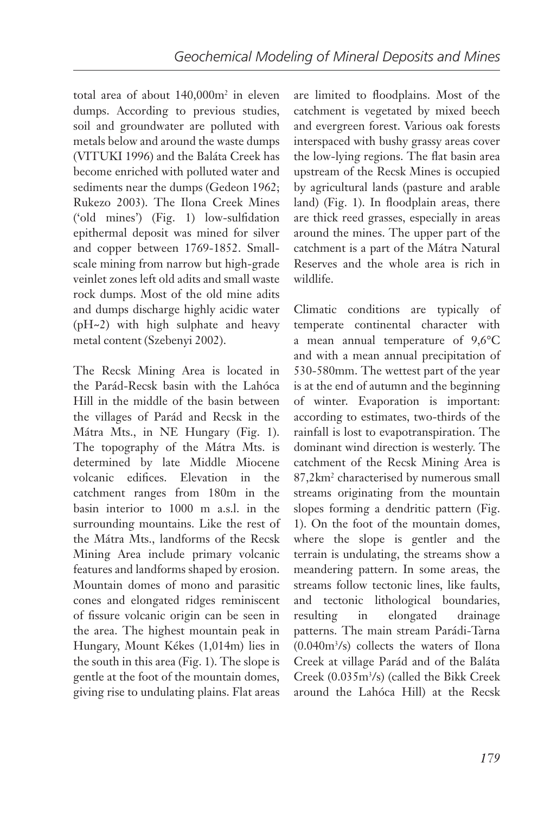total area of about 140,000m2 in eleven dumps. According to previous studies, soil and groundwater are polluted with metals below and around the waste dumps (VITUKI 1996) and the Baláta Creek has become enriched with polluted water and sediments near the dumps (Gedeon 1962; Rukezo 2003). The Ilona Creek Mines ('old mines') (Fig. 1) low-sulfidation epithermal deposit was mined for silver and copper between 1769-1852. Smallscale mining from narrow but high-grade veinlet zones left old adits and small waste rock dumps. Most of the old mine adits and dumps discharge highly acidic water (pH~2) with high sulphate and heavy metal content (Szebenyi 2002).

The Recsk Mining Area is located in the Parád-Recsk basin with the Lahóca Hill in the middle of the basin between the villages of Parád and Recsk in the Mátra Mts., in NE Hungary (Fig. 1). The topography of the Mátra Mts. is determined by late Middle Miocene volcanic edifices. Elevation in the catchment ranges from 180m in the basin interior to 1000 m a.s.l. in the surrounding mountains. Like the rest of the Mátra Mts., landforms of the Recsk Mining Area include primary volcanic features and landforms shaped by erosion. Mountain domes of mono and parasitic cones and elongated ridges reminiscent of fissure volcanic origin can be seen in the area. The highest mountain peak in Hungary, Mount Kékes (1,014m) lies in the south in this area (Fig. 1). The slope is gentle at the foot of the mountain domes, giving rise to undulating plains. Flat areas

are limited to floodplains. Most of the catchment is vegetated by mixed beech and evergreen forest. Various oak forests interspaced with bushy grassy areas cover the low-lying regions. The flat basin area upstream of the Recsk Mines is occupied by agricultural lands (pasture and arable land) (Fig. 1). In floodplain areas, there are thick reed grasses, especially in areas around the mines. The upper part of the catchment is a part of the Mátra Natural Reserves and the whole area is rich in wildlife.

Climatic conditions are typically of temperate continental character with a mean annual temperature of 9,6°C and with a mean annual precipitation of 530-580mm. The wettest part of the year is at the end of autumn and the beginning of winter. Evaporation is important: according to estimates, two-thirds of the rainfall is lost to evapotranspiration. The dominant wind direction is westerly. The catchment of the Recsk Mining Area is 87,2km2 characterised by numerous small streams originating from the mountain slopes forming a dendritic pattern (Fig. 1). On the foot of the mountain domes, where the slope is gentler and the terrain is undulating, the streams show a meandering pattern. In some areas, the streams follow tectonic lines, like faults, and tectonic lithological boundaries, resulting in elongated drainage patterns. The main stream Parádi-Tarna (0.040m3 /s) collects the waters of Ilona Creek at village Parád and of the Baláta Creek (0.035m3 /s) (called the Bikk Creek around the Lahóca Hill) at the Recsk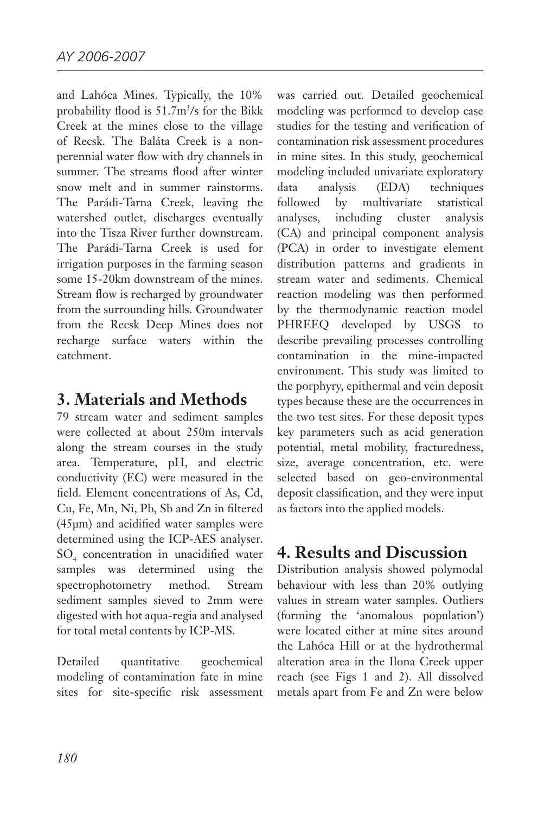and Lahóca Mines. Typically, the 10% probability flood is 51.7m3 /s for the Bikk Creek at the mines close to the village of Recsk. The Baláta Creek is a nonperennial water flow with dry channels in summer. The streams flood after winter snow melt and in summer rainstorms. The Parádi-Tarna Creek, leaving the watershed outlet, discharges eventually into the Tisza River further downstream. The Parádi-Tarna Creek is used for irrigation purposes in the farming season some 15-20km downstream of the mines. Stream flow is recharged by groundwater from the surrounding hills. Groundwater from the Recsk Deep Mines does not recharge surface waters within the catchment.

#### **3. Materials and Methods**

79 stream water and sediment samples were collected at about 250m intervals along the stream courses in the study area. Temperature, pH, and electric conductivity (EC) were measured in the field. Element concentrations of As, Cd, Cu, Fe, Mn, Ni, Pb, Sb and Zn in filtered (45µm) and acidified water samples were determined using the ICP-AES analyser. SO4 concentration in unacidified water samples was determined using the spectrophotometry method. Stream sediment samples sieved to 2mm were digested with hot aqua-regia and analysed for total metal contents by ICP-MS.

Detailed quantitative geochemical modeling of contamination fate in mine sites for site-specific risk assessment

was carried out. Detailed geochemical modeling was performed to develop case studies for the testing and verification of contamination risk assessment procedures in mine sites. In this study, geochemical modeling included univariate exploratory data analysis (EDA) techniques followed by multivariate statistical analyses, including cluster analysis (CA) and principal component analysis (PCA) in order to investigate element distribution patterns and gradients in stream water and sediments. Chemical reaction modeling was then performed by the thermodynamic reaction model PHREEQ developed by USGS to describe prevailing processes controlling contamination in the mine-impacted environment. This study was limited to the porphyry, epithermal and vein deposit types because these are the occurrences in the two test sites. For these deposit types key parameters such as acid generation potential, metal mobility, fracturedness, size, average concentration, etc. were selected based on geo-environmental deposit classification, and they were input as factors into the applied models.

### **4. Results and Discussion**

Distribution analysis showed polymodal behaviour with less than 20% outlying values in stream water samples. Outliers (forming the 'anomalous population') were located either at mine sites around the Lahóca Hill or at the hydrothermal alteration area in the Ilona Creek upper reach (see Figs 1 and 2). All dissolved metals apart from Fe and Zn were below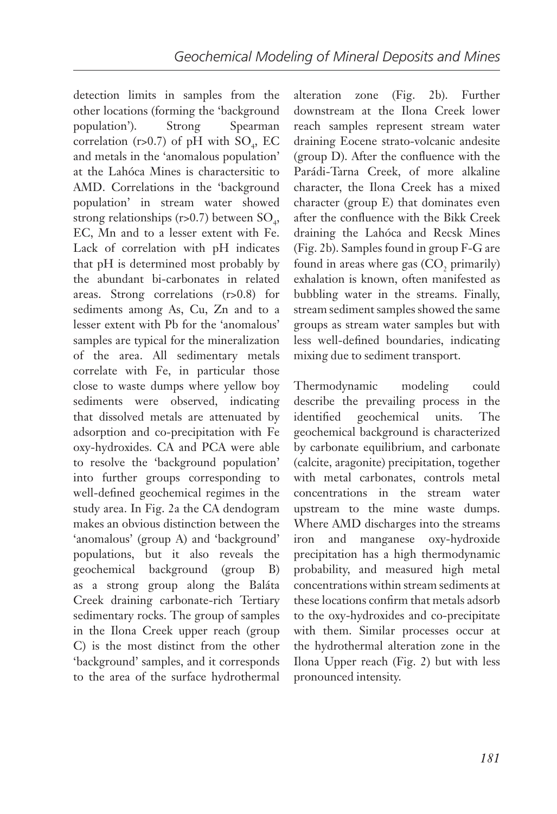detection limits in samples from the other locations (forming the 'background population'). Strong Spearman correlation (r>0.7) of pH with  $SO_4$ , EC and metals in the 'anomalous population' at the Lahóca Mines is charactersitic to AMD. Correlations in the 'background population' in stream water showed strong relationships (r>0.7) between  $\text{SO}_4$ , EC, Mn and to a lesser extent with Fe. Lack of correlation with pH indicates that pH is determined most probably by the abundant bi-carbonates in related areas. Strong correlations (r>0.8) for sediments among As, Cu, Zn and to a lesser extent with Pb for the 'anomalous' samples are typical for the mineralization of the area. All sedimentary metals correlate with Fe, in particular those close to waste dumps where yellow boy sediments were observed, indicating that dissolved metals are attenuated by adsorption and co-precipitation with Fe oxy-hydroxides. CA and PCA were able to resolve the 'background population' into further groups corresponding to well-defined geochemical regimes in the study area. In Fig. 2a the CA dendogram makes an obvious distinction between the 'anomalous' (group A) and 'background' populations, but it also reveals the geochemical background (group B) as a strong group along the Baláta Creek draining carbonate-rich Tertiary sedimentary rocks. The group of samples in the Ilona Creek upper reach (group C) is the most distinct from the other 'background' samples, and it corresponds to the area of the surface hydrothermal

alteration zone (Fig. 2b). Further downstream at the Ilona Creek lower reach samples represent stream water draining Eocene strato-volcanic andesite (group D). After the confluence with the Parádi-Tarna Creek, of more alkaline character, the Ilona Creek has a mixed character (group E) that dominates even after the confluence with the Bikk Creek draining the Lahóca and Recsk Mines (Fig. 2b). Samples found in group F-G are found in areas where gas  $(CO<sub>2</sub>$  primarily) exhalation is known, often manifested as bubbling water in the streams. Finally, stream sediment samples showed the same groups as stream water samples but with less well-defined boundaries, indicating mixing due to sediment transport.

Thermodynamic modeling could describe the prevailing process in the identified geochemical units. The geochemical background is characterized by carbonate equilibrium, and carbonate (calcite, aragonite) precipitation, together with metal carbonates, controls metal concentrations in the stream water upstream to the mine waste dumps. Where AMD discharges into the streams iron and manganese oxy-hydroxide precipitation has a high thermodynamic probability, and measured high metal concentrations within stream sediments at these locations confirm that metals adsorb to the oxy-hydroxides and co-precipitate with them. Similar processes occur at the hydrothermal alteration zone in the Ilona Upper reach (Fig. 2) but with less pronounced intensity.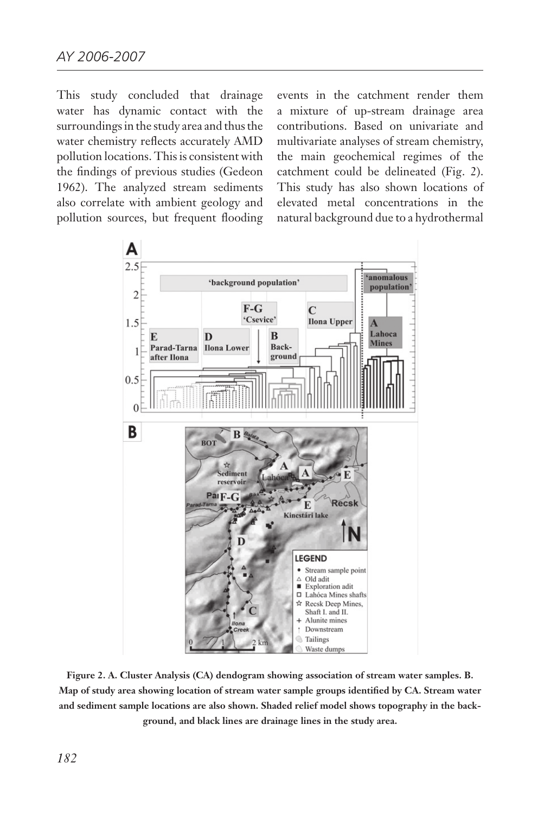This study concluded that drainage water has dynamic contact with the surroundings in the study area and thus the water chemistry reflects accurately AMD pollution locations. This is consistent with the findings of previous studies (Gedeon 1962). The analyzed stream sediments also correlate with ambient geology and pollution sources, but frequent flooding

events in the catchment render them a mixture of up-stream drainage area contributions. Based on univariate and multivariate analyses of stream chemistry, the main geochemical regimes of the catchment could be delineated (Fig. 2). This study has also shown locations of elevated metal concentrations in the natural background due to a hydrothermal



**Figure 2. A. Cluster Analysis (CA) dendogram showing association of stream water samples. B. Map of study area showing location of stream water sample groups identified by CA. Stream water and sediment sample locations are also shown. Shaded relief model shows topography in the background, and black lines are drainage lines in the study area.**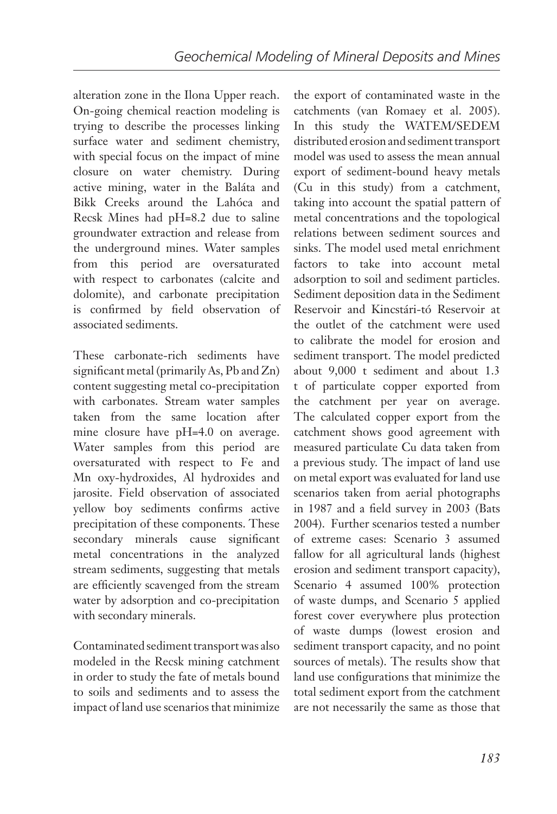alteration zone in the Ilona Upper reach. On-going chemical reaction modeling is trying to describe the processes linking surface water and sediment chemistry, with special focus on the impact of mine closure on water chemistry. During active mining, water in the Baláta and Bikk Creeks around the Lahóca and Recsk Mines had pH=8.2 due to saline groundwater extraction and release from the underground mines. Water samples from this period are oversaturated with respect to carbonates (calcite and dolomite), and carbonate precipitation is confirmed by field observation of associated sediments.

These carbonate-rich sediments have significant metal (primarily As, Pb and Zn) content suggesting metal co-precipitation with carbonates. Stream water samples taken from the same location after mine closure have pH=4.0 on average. Water samples from this period are oversaturated with respect to Fe and Mn oxy-hydroxides, Al hydroxides and jarosite. Field observation of associated yellow boy sediments confirms active precipitation of these components. These secondary minerals cause significant metal concentrations in the analyzed stream sediments, suggesting that metals are efficiently scavenged from the stream water by adsorption and co-precipitation with secondary minerals.

Contaminated sediment transport was also modeled in the Recsk mining catchment in order to study the fate of metals bound to soils and sediments and to assess the impact of land use scenarios that minimize the export of contaminated waste in the catchments (van Romaey et al. 2005). In this study the WATEM/SEDEM distributed erosion and sediment transport model was used to assess the mean annual export of sediment-bound heavy metals (Cu in this study) from a catchment, taking into account the spatial pattern of metal concentrations and the topological relations between sediment sources and sinks. The model used metal enrichment factors to take into account metal adsorption to soil and sediment particles. Sediment deposition data in the Sediment Reservoir and Kincstári-tó Reservoir at the outlet of the catchment were used to calibrate the model for erosion and sediment transport. The model predicted about 9,000 t sediment and about 1.3 t of particulate copper exported from the catchment per year on average. The calculated copper export from the catchment shows good agreement with measured particulate Cu data taken from a previous study. The impact of land use on metal export was evaluated for land use scenarios taken from aerial photographs in 1987 and a field survey in 2003 (Bats 2004). Further scenarios tested a number of extreme cases: Scenario 3 assumed fallow for all agricultural lands (highest erosion and sediment transport capacity), Scenario 4 assumed 100% protection of waste dumps, and Scenario 5 applied forest cover everywhere plus protection of waste dumps (lowest erosion and sediment transport capacity, and no point sources of metals). The results show that land use configurations that minimize the total sediment export from the catchment are not necessarily the same as those that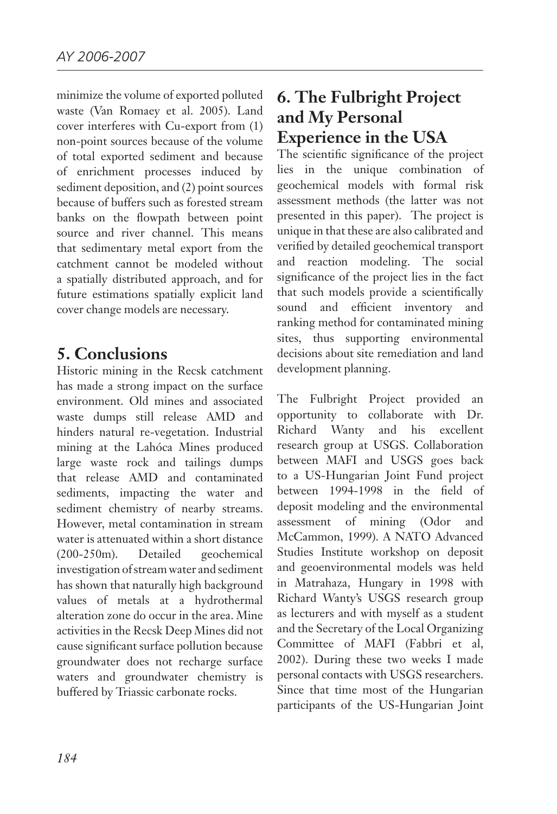minimize the volume of exported polluted waste (Van Romaey et al. 2005). Land cover interferes with Cu-export from (1) non-point sources because of the volume of total exported sediment and because of enrichment processes induced by sediment deposition, and (2) point sources because of buffers such as forested stream banks on the flowpath between point source and river channel. This means that sedimentary metal export from the catchment cannot be modeled without a spatially distributed approach, and for future estimations spatially explicit land cover change models are necessary.

### **5. Conclusions**

Historic mining in the Recsk catchment has made a strong impact on the surface environment. Old mines and associated waste dumps still release AMD and hinders natural re-vegetation. Industrial mining at the Lahóca Mines produced large waste rock and tailings dumps that release AMD and contaminated sediments, impacting the water and sediment chemistry of nearby streams. However, metal contamination in stream water is attenuated within a short distance (200-250m). Detailed geochemical investigation of stream water and sediment has shown that naturally high background values of metals at a hydrothermal alteration zone do occur in the area. Mine activities in the Recsk Deep Mines did not cause significant surface pollution because groundwater does not recharge surface waters and groundwater chemistry is buffered by Triassic carbonate rocks.

# **6. The Fulbright Project and My Personal Experience in the USA**

The scientific significance of the project lies in the unique combination of geochemical models with formal risk assessment methods (the latter was not presented in this paper). The project is unique in that these are also calibrated and verified by detailed geochemical transport and reaction modeling. The social significance of the project lies in the fact that such models provide a scientifically sound and efficient inventory and ranking method for contaminated mining sites, thus supporting environmental decisions about site remediation and land development planning.

The Fulbright Project provided an opportunity to collaborate with Dr. Richard Wanty and his excellent research group at USGS. Collaboration between MAFI and USGS goes back to a US-Hungarian Joint Fund project between 1994-1998 in the field of deposit modeling and the environmental assessment of mining (Odor and McCammon, 1999). A NATO Advanced Studies Institute workshop on deposit and geoenvironmental models was held in Matrahaza, Hungary in 1998 with Richard Wanty's USGS research group as lecturers and with myself as a student and the Secretary of the Local Organizing Committee of MAFI (Fabbri et al, 2002). During these two weeks I made personal contacts with USGS researchers. Since that time most of the Hungarian participants of the US-Hungarian Joint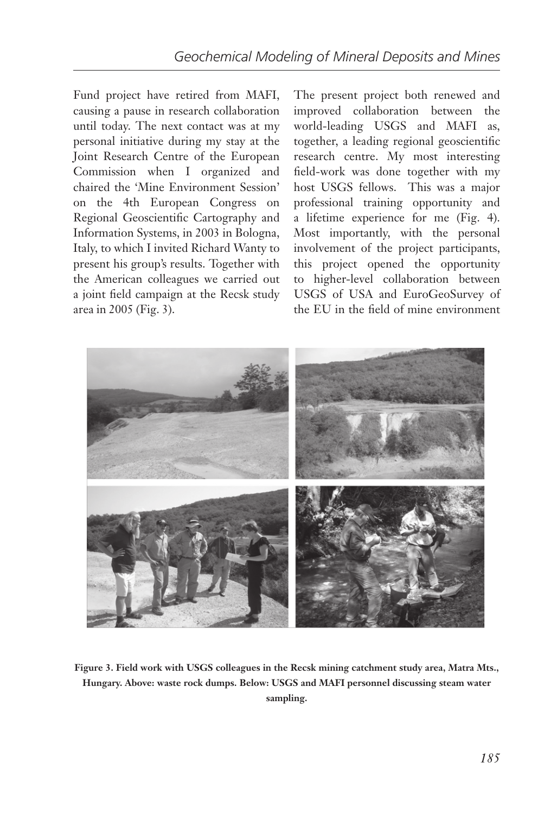Fund project have retired from MAFI, causing a pause in research collaboration until today. The next contact was at my personal initiative during my stay at the Joint Research Centre of the European Commission when I organized and chaired the 'Mine Environment Session' on the 4th European Congress on Regional Geoscientific Cartography and Information Systems, in 2003 in Bologna, Italy, to which I invited Richard Wanty to present his group's results. Together with the American colleagues we carried out a joint field campaign at the Recsk study area in 2005 (Fig. 3).

The present project both renewed and improved collaboration between the world-leading USGS and MAFI as, together, a leading regional geoscientific research centre. My most interesting field-work was done together with my host USGS fellows. This was a major professional training opportunity and a lifetime experience for me (Fig. 4). Most importantly, with the personal involvement of the project participants, this project opened the opportunity to higher-level collaboration between USGS of USA and EuroGeoSurvey of the EU in the field of mine environment



**Figure 3. Field work with USGS colleagues in the Recsk mining catchment study area, Matra Mts., Hungary. Above: waste rock dumps. Below: USGS and MAFI personnel discussing steam water sampling.**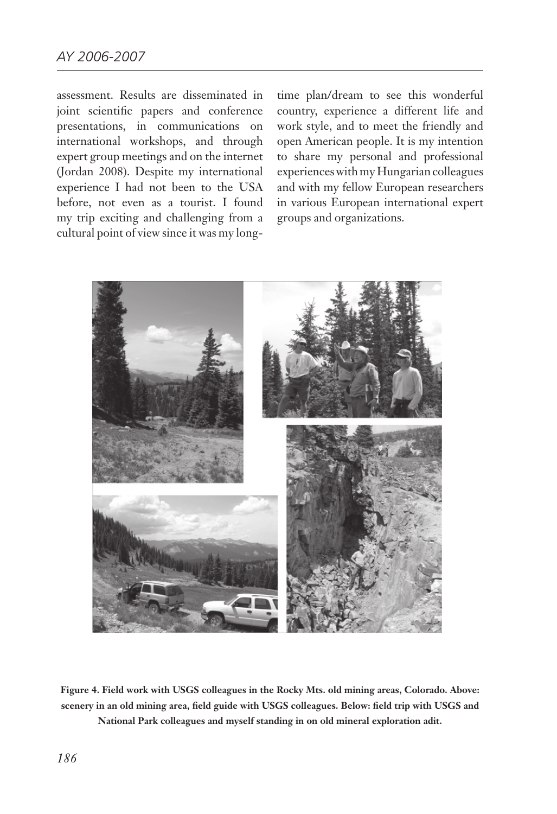assessment. Results are disseminated in joint scientific papers and conference presentations, in communications on international workshops, and through expert group meetings and on the internet (Jordan 2008). Despite my international experience I had not been to the USA before, not even as a tourist. I found my trip exciting and challenging from a cultural point of view since it was my long-

time plan/dream to see this wonderful country, experience a different life and work style, and to meet the friendly and open American people. It is my intention to share my personal and professional experiences with my Hungarian colleagues and with my fellow European researchers in various European international expert groups and organizations.



**Figure 4. Field work with USGS colleagues in the Rocky Mts. old mining areas, Colorado. Above: scenery in an old mining area, field guide with USGS colleagues. Below: field trip with USGS and National Park colleagues and myself standing in on old mineral exploration adit.**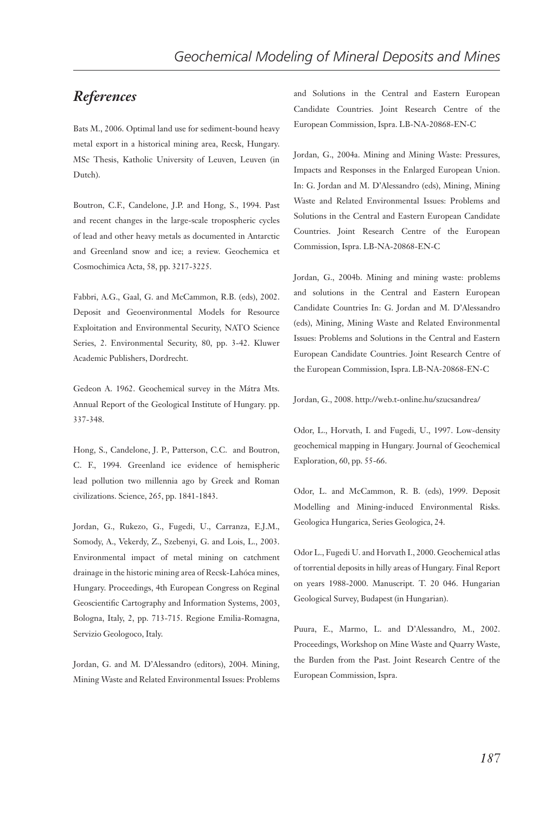#### *References*

Bats M., 2006. Optimal land use for sediment-bound heavy metal export in a historical mining area, Recsk, Hungary. MSc Thesis, Katholic University of Leuven, Leuven (in Dutch).

Boutron, C.F., Candelone, J.P. and Hong, S., 1994. Past and recent changes in the large-scale tropospheric cycles of lead and other heavy metals as documented in Antarctic and Greenland snow and ice; a review. Geochemica et Cosmochimica Acta, 58, pp. 3217-3225.

Fabbri, A.G., Gaal, G. and McCammon, R.B. (eds), 2002. Deposit and Geoenvironmental Models for Resource Exploitation and Environmental Security, NATO Science Series, 2. Environmental Security, 80, pp. 3-42. Kluwer Academic Publishers, Dordrecht.

Gedeon A. 1962. Geochemical survey in the Mátra Mts. Annual Report of the Geological Institute of Hungary. pp. 337-348.

Hong, S., Candelone, J. P., Patterson, C.C. and Boutron, C. F., 1994. Greenland ice evidence of hemispheric lead pollution two millennia ago by Greek and Roman civilizations. Science, 265, pp. 1841-1843.

Jordan, G., Rukezo, G., Fugedi, U., Carranza, E.J.M., Somody, A., Vekerdy, Z., Szebenyi, G. and Lois, L., 2003. Environmental impact of metal mining on catchment drainage in the historic mining area of Recsk-Lahóca mines, Hungary. Proceedings, 4th European Congress on Reginal Geoscientific Cartography and Information Systems, 2003, Bologna, Italy, 2, pp. 713-715. Regione Emilia-Romagna, Servizio Geologoco, Italy.

Jordan, G. and M. D'Alessandro (editors), 2004. Mining, Mining Waste and Related Environmental Issues: Problems and Solutions in the Central and Eastern European Candidate Countries. Joint Research Centre of the European Commission, Ispra. LB-NA-20868-EN-C

Jordan, G., 2004a. Mining and Mining Waste: Pressures, Impacts and Responses in the Enlarged European Union. In: G. Jordan and M. D'Alessandro (eds), Mining, Mining Waste and Related Environmental Issues: Problems and Solutions in the Central and Eastern European Candidate Countries. Joint Research Centre of the European Commission, Ispra. LB-NA-20868-EN-C

Jordan, G., 2004b. Mining and mining waste: problems and solutions in the Central and Eastern European Candidate Countries In: G. Jordan and M. D'Alessandro (eds), Mining, Mining Waste and Related Environmental Issues: Problems and Solutions in the Central and Eastern European Candidate Countries. Joint Research Centre of the European Commission, Ispra. LB-NA-20868-EN-C

Jordan, G., 2008. http://web.t-online.hu/szucsandrea/

Odor, L., Horvath, I. and Fugedi, U., 1997. Low-density geochemical mapping in Hungary. Journal of Geochemical Exploration, 60, pp. 55-66.

Odor, L. and McCammon, R. B. (eds), 1999. Deposit Modelling and Mining-induced Environmental Risks. Geologica Hungarica, Series Geologica, 24.

Odor L., Fugedi U. and Horvath I., 2000. Geochemical atlas of torrential deposits in hilly areas of Hungary. Final Report on years 1988-2000. Manuscript. T. 20 046. Hungarian Geological Survey, Budapest (in Hungarian).

Puura, E., Marmo, L. and D'Alessandro, M., 2002. Proceedings, Workshop on Mine Waste and Quarry Waste, the Burden from the Past. Joint Research Centre of the European Commission, Ispra.